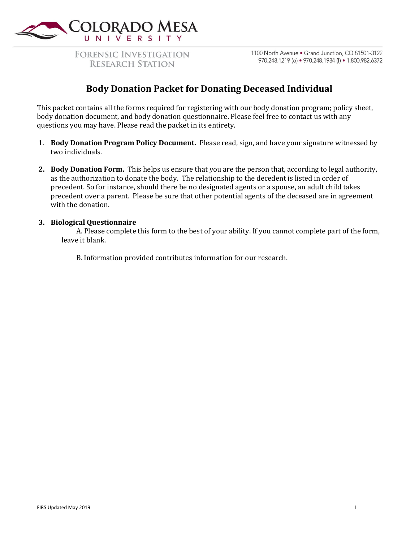

**FORENSIC INVESTIGATION RESEARCH STATION** 

1100 North Avenue . Grand Junction, CO 81501-3122 970.248.1219 (o) • 970.248.1934 (f) • 1.800.982.6372

## **Body Donation Packet for Donating Deceased Individual**

This packet contains all the forms required for registering with our body donation program; policy sheet, body donation document, and body donation questionnaire. Please feel free to contact us with any questions you may have. Please read the packet in its entirety.

- 1. **Body Donation Program Policy Document.** Please read, sign, and have your signature witnessed by two individuals.
- **2. Body Donation Form.** This helps us ensure that you are the person that, according to legal authority, as the authorization to donate the body. The relationship to the decedent is listed in order of precedent. So for instance, should there be no designated agents or a spouse, an adult child takes precedent over a parent. Please be sure that other potential agents of the deceased are in agreement with the donation.

#### **3. Biological Questionnaire**

A. Please complete this form to the best of your ability. If you cannot complete part of the form, leave it blank.

B. Information provided contributes information for our research.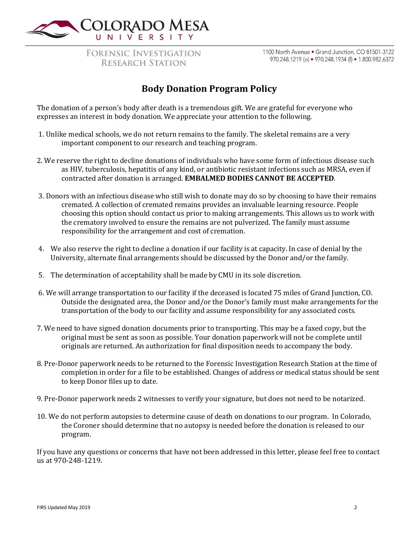

**FORENSIC INVESTIGATION RESEARCH STATION** 

1100 North Avenue . Grand Junction, CO 81501-3122 970.248.1219 (o) • 970.248.1934 (f) • 1.800.982.6372

# **Body Donation Program Policy**

The donation of a person's body after death is a tremendous gift. We are grateful for everyone who expresses an interest in body donation. We appreciate your attention to the following.

- 1. Unlike medical schools, we do not return remains to the family. The skeletal remains are a very important component to our research and teaching program.
- 2. We reserve the right to decline donations of individuals who have some form of infectious disease such as HIV, tuberculosis, hepatitis of any kind, or antibiotic resistant infections such as MRSA, even if contracted after donation is arranged. **EMBALMED BODIES CANNOT BE ACCEPTED**.
- 3. Donors with an infectious disease who still wish to donate may do so by choosing to have their remains cremated. A collection of cremated remains provides an invaluable learning resource. People choosing this option should contact us prior to making arrangements. This allows us to work with the crematory involved to ensure the remains are not pulverized. The family must assume responsibility for the arrangement and cost of cremation.
- 4. We also reserve the right to decline a donation if our facility is at capacity. In case of denial by the University, alternate final arrangements should be discussed by the Donor and/or the family.
- 5. The determination of acceptability shall be made by CMU in its sole discretion.
- 6. We will arrange transportation to our facility if the deceased is located 75 miles of Grand Junction, CO. Outside the designated area, the Donor and/or the Donor's family must make arrangements for the transportation of the body to our facility and assume responsibility for any associated costs.
- 7. We need to have signed donation documents prior to transporting. This may be a faxed copy, but the original must be sent as soon as possible. Your donation paperwork will not be complete until originals are returned. An authorization for final disposition needs to accompany the body.
- 8. Pre-Donor paperwork needs to be returned to the Forensic Investigation Research Station at the time of completion in order for a file to be established. Changes of address or medical status should be sent to keep Donor files up to date.
- 9. Pre-Donor paperwork needs 2 witnesses to verify your signature, but does not need to be notarized.
- 10. We do not perform autopsies to determine cause of death on donations to our program. In Colorado, the Coroner should determine that no autopsy is needed before the donation is released to our program.

If you have any questions or concerns that have not been addressed in this letter, please feel free to contact us at 970-248-1219.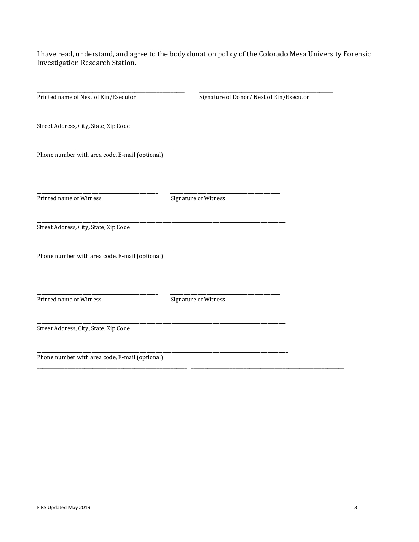I have read, understand, and agree to the body donation policy of the Colorado Mesa University Forensic **Investigation Research Station.** 

| Printed name of Next of Kin/Executor           | Signature of Donor/Next of Kin/Executor |  |
|------------------------------------------------|-----------------------------------------|--|
|                                                |                                         |  |
| Street Address, City, State, Zip Code          |                                         |  |
| Phone number with area code, E-mail (optional) |                                         |  |
| Printed name of Witness                        | Signature of Witness                    |  |
| Street Address, City, State, Zip Code          |                                         |  |
| Phone number with area code, E-mail (optional) |                                         |  |
| Printed name of Witness                        | Signature of Witness                    |  |
| Street Address, City, State, Zip Code          |                                         |  |
| Phone number with area code, E-mail (optional) |                                         |  |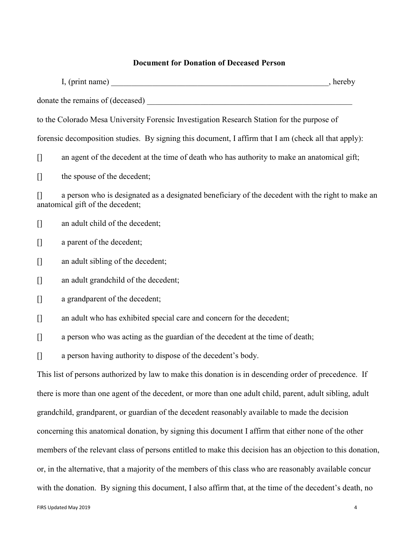## **Document for Donation of Deceased Person**

|                                                                                                                                                                                                                                                                                                                                                                      | to the Colorado Mesa University Forensic Investigation Research Station for the purpose of                                           |  |
|----------------------------------------------------------------------------------------------------------------------------------------------------------------------------------------------------------------------------------------------------------------------------------------------------------------------------------------------------------------------|--------------------------------------------------------------------------------------------------------------------------------------|--|
|                                                                                                                                                                                                                                                                                                                                                                      | forensic decomposition studies. By signing this document, I affirm that I am (check all that apply):                                 |  |
| $[]$                                                                                                                                                                                                                                                                                                                                                                 | an agent of the decedent at the time of death who has authority to make an anatomical gift;                                          |  |
| $[]$                                                                                                                                                                                                                                                                                                                                                                 | the spouse of the decedent;                                                                                                          |  |
|                                                                                                                                                                                                                                                                                                                                                                      | a person who is designated as a designated beneficiary of the decedent with the right to make an<br>anatomical gift of the decedent; |  |
| $[] \centering \includegraphics[width=0.47\textwidth]{images/TransY_1.png} \caption{The first two different values of $100$ K, $100$ K, $100$ K, $100$ K, $100$ K, $100$ K, $100$ K, $100$ K, $100$ K, $100$ K, $100$ K, $100$ K, $100$ K, $100$ K, $100$ K, $100$ K, $100$ K, $100$ K, $100$ K, $100$ K, $100$ K, $100$ K, $100$ K, $100$ K, $100$ K, $100$ K, $10$ | an adult child of the decedent;                                                                                                      |  |
| $[]$                                                                                                                                                                                                                                                                                                                                                                 | a parent of the decedent;                                                                                                            |  |
| $[]$                                                                                                                                                                                                                                                                                                                                                                 | an adult sibling of the decedent;                                                                                                    |  |
| $[]$                                                                                                                                                                                                                                                                                                                                                                 | an adult grandchild of the decedent;                                                                                                 |  |
|                                                                                                                                                                                                                                                                                                                                                                      | a grandparent of the decedent;                                                                                                       |  |
|                                                                                                                                                                                                                                                                                                                                                                      | an adult who has exhibited special care and concern for the decedent;                                                                |  |
| $[]$                                                                                                                                                                                                                                                                                                                                                                 | a person who was acting as the guardian of the decedent at the time of death;                                                        |  |
| $\begin{bmatrix} 1 \end{bmatrix}$                                                                                                                                                                                                                                                                                                                                    | a person having authority to dispose of the decedent's body.                                                                         |  |
|                                                                                                                                                                                                                                                                                                                                                                      | This list of persons authorized by law to make this donation is in descending order of precedence. If                                |  |
|                                                                                                                                                                                                                                                                                                                                                                      | there is more than one agent of the decedent, or more than one adult child, parent, adult sibling, adult                             |  |
|                                                                                                                                                                                                                                                                                                                                                                      | grandchild, grandparent, or guardian of the decedent reasonably available to made the decision                                       |  |
|                                                                                                                                                                                                                                                                                                                                                                      | concerning this anatomical donation, by signing this document I affirm that either none of the other                                 |  |
|                                                                                                                                                                                                                                                                                                                                                                      | members of the relevant class of persons entitled to make this decision has an objection to this donation,                           |  |
|                                                                                                                                                                                                                                                                                                                                                                      | or, in the alternative, that a majority of the members of this class who are reasonably available concur                             |  |
|                                                                                                                                                                                                                                                                                                                                                                      | with the donation. By signing this document, I also affirm that, at the time of the decedent's death, no                             |  |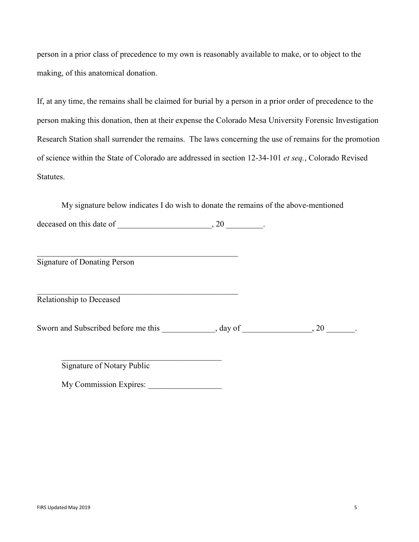person in a prior class of precedence to my own is reasonably available to make, or to object to the making, of this anatomical donation.

If, at any time, the remains shall be claimed for burial by a person in a prior order of precedence to the person making this donation, then at their expense the Colorado Mesa University Forensic Investigation Research Station shall surrender the remains. The laws concerning the use of remains for the promotion of science within the State of Colorado are addressed in section 12-34-101 *et seq.*, Colorado Revised Statutes.

 My signature below indicates I do wish to donate the remains of the above-mentioned deceased on this date of  $\_\_\_\_\_\_\_\_\_\_$ . 20  $\_\_\_\_\_\_\_\_$ .

Signature of Donating Person

Relationship to Deceased

Sworn and Subscribed before me this \_\_\_\_\_\_\_\_\_\_\_\_, day of \_\_\_\_\_\_\_\_\_\_\_\_\_\_, 20 \_\_\_\_\_\_\_.

Signature of Notary Public

My Commission Expires: \_\_\_\_\_\_\_\_\_\_\_\_\_\_\_\_\_\_

 $\mathcal{L}_\mathcal{L} = \{ \mathcal{L}_\mathcal{L} \}$ 

\_\_\_\_\_\_\_\_\_\_\_\_\_\_\_\_\_\_\_\_\_\_\_\_\_\_\_\_\_\_\_\_\_\_\_\_\_\_\_\_\_\_\_\_\_\_\_\_\_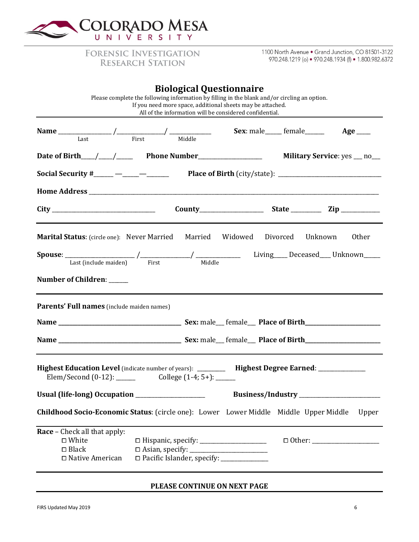

**FORENSIC INVESTIGATION RESEARCH STATION** 

1100 North Avenue . Grand Junction, CO 81501-3122 970.248.1219 (o) • 970.248.1934 (f) • 1.800.982.6372

| <b>Biological Questionnaire</b> |  |  |
|---------------------------------|--|--|
|---------------------------------|--|--|

|                                                                                                                                                                                                                                                                                                                                                                                                                                                                                         | If you need more space, additional sheets may be attached.<br>All of the information will be considered confidential. | Please complete the following information by filling in the blank and/or circling an option. |                              |                     |
|-----------------------------------------------------------------------------------------------------------------------------------------------------------------------------------------------------------------------------------------------------------------------------------------------------------------------------------------------------------------------------------------------------------------------------------------------------------------------------------------|-----------------------------------------------------------------------------------------------------------------------|----------------------------------------------------------------------------------------------|------------------------------|---------------------|
| Name $\frac{1}{\sqrt{1-\frac{1}{\sqrt{1-\frac{1}{\sqrt{1-\frac{1}{\sqrt{1-\frac{1}{\sqrt{1-\frac{1}{\sqrt{1-\frac{1}{\sqrt{1-\frac{1}{\sqrt{1-\frac{1}{\sqrt{1-\frac{1}{\sqrt{1-\frac{1}{\sqrt{1-\frac{1}{\sqrt{1-\frac{1}{\sqrt{1-\frac{1}{\sqrt{1-\frac{1}{\sqrt{1-\frac{1}{\sqrt{1-\frac{1}{\sqrt{1-\frac{1}{\sqrt{1-\frac{1}{\sqrt{1-\frac{1}{\sqrt{1-\frac{1}{\sqrt{1-\frac{1}{\sqrt{1-\frac{1}{\sqrt{1-\frac{1}{\sqrt{$                                                           |                                                                                                                       |                                                                                              | Sex: male______ female______ | $Age$ <sub>——</sub> |
|                                                                                                                                                                                                                                                                                                                                                                                                                                                                                         |                                                                                                                       |                                                                                              |                              |                     |
| <b>Social Security #</b> _____ — _____ Place of Birth (city/state): _________________________                                                                                                                                                                                                                                                                                                                                                                                           |                                                                                                                       |                                                                                              |                              |                     |
|                                                                                                                                                                                                                                                                                                                                                                                                                                                                                         |                                                                                                                       |                                                                                              |                              |                     |
|                                                                                                                                                                                                                                                                                                                                                                                                                                                                                         |                                                                                                                       |                                                                                              |                              |                     |
| <b>Marital Status:</b> (circle one): Never Married                                                                                                                                                                                                                                                                                                                                                                                                                                      |                                                                                                                       | Married Widowed                                                                              | Divorced                     | Unknown<br>Other    |
| $\textbf{Spouse: } \begin{tabular}{c} \textbf{.} \\ \textbf{.} \\ \textbf{.} \\ \textbf{.} \end{tabular} \begin{tabular}{c} \textbf{.} \\ \textbf{.} \\ \textbf{.} \\ \textbf{.} \end{tabular} \begin{tabular}{c} \textbf{.} \\ \textbf{.} \\ \textbf{.} \\ \textbf{.} \\ \end{tabular} \begin{tabular}{c} \textbf{.} \\ \textbf{.} \\ \textbf{.} \\ \end{tabular} \begin{tabular}{c} \textbf{.} \\ \textbf{.} \\ \textbf{.} \\ \end{tabular} \begin{tabular}{c} \textbf{.} \\ \textbf$ |                                                                                                                       |                                                                                              |                              |                     |
| Number of Children: _____                                                                                                                                                                                                                                                                                                                                                                                                                                                               |                                                                                                                       |                                                                                              |                              |                     |
| Parents' Full names (include maiden names)                                                                                                                                                                                                                                                                                                                                                                                                                                              |                                                                                                                       |                                                                                              |                              |                     |
|                                                                                                                                                                                                                                                                                                                                                                                                                                                                                         |                                                                                                                       |                                                                                              |                              |                     |
|                                                                                                                                                                                                                                                                                                                                                                                                                                                                                         |                                                                                                                       |                                                                                              |                              |                     |
|                                                                                                                                                                                                                                                                                                                                                                                                                                                                                         |                                                                                                                       |                                                                                              |                              |                     |
|                                                                                                                                                                                                                                                                                                                                                                                                                                                                                         | Elem/Second $(0-12)$ : _______ College $(1-4; 5+)$ : _____                                                            |                                                                                              |                              |                     |
|                                                                                                                                                                                                                                                                                                                                                                                                                                                                                         |                                                                                                                       |                                                                                              |                              |                     |
|                                                                                                                                                                                                                                                                                                                                                                                                                                                                                         |                                                                                                                       |                                                                                              |                              |                     |
|                                                                                                                                                                                                                                                                                                                                                                                                                                                                                         |                                                                                                                       |                                                                                              |                              | Upper               |
| Highest Education Level (indicate number of years): _________ Highest Degree Earned: _____________<br><b>Childhood Socio-Economic Status:</b> (circle one): Lower Lower Middle Middle Upper Middle<br><b>Race</b> – Check all that apply:<br>$\square$ White<br>$\square$ Black                                                                                                                                                                                                         | $\Box$ Asian, specify: $\Box$                                                                                         |                                                                                              |                              |                     |

### **PLEASE CONTINUE ON NEXT PAGE**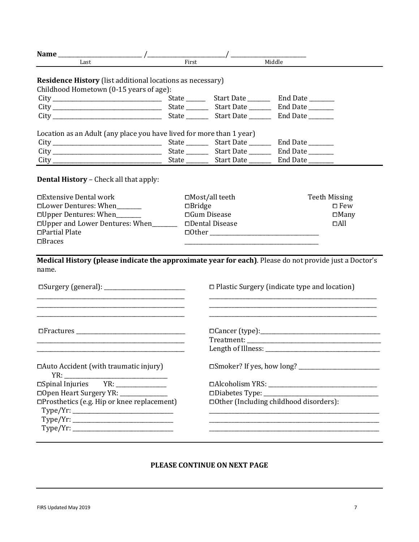| Last                                                                                                                                                                                                                                                                                                                                                                                                                                                                                                                                                                                                                            | First         |                          | Middle                                                                                                           |                      |  |  |
|---------------------------------------------------------------------------------------------------------------------------------------------------------------------------------------------------------------------------------------------------------------------------------------------------------------------------------------------------------------------------------------------------------------------------------------------------------------------------------------------------------------------------------------------------------------------------------------------------------------------------------|---------------|--------------------------|------------------------------------------------------------------------------------------------------------------|----------------------|--|--|
| <b>Residence History</b> (list additional locations as necessary)<br>Childhood Hometown (0-15 years of age):                                                                                                                                                                                                                                                                                                                                                                                                                                                                                                                    |               |                          |                                                                                                                  |                      |  |  |
|                                                                                                                                                                                                                                                                                                                                                                                                                                                                                                                                                                                                                                 |               |                          |                                                                                                                  |                      |  |  |
|                                                                                                                                                                                                                                                                                                                                                                                                                                                                                                                                                                                                                                 |               |                          |                                                                                                                  |                      |  |  |
|                                                                                                                                                                                                                                                                                                                                                                                                                                                                                                                                                                                                                                 |               |                          |                                                                                                                  |                      |  |  |
| Location as an Adult (any place you have lived for more than 1 year)                                                                                                                                                                                                                                                                                                                                                                                                                                                                                                                                                            |               |                          |                                                                                                                  |                      |  |  |
|                                                                                                                                                                                                                                                                                                                                                                                                                                                                                                                                                                                                                                 |               |                          |                                                                                                                  |                      |  |  |
|                                                                                                                                                                                                                                                                                                                                                                                                                                                                                                                                                                                                                                 |               |                          |                                                                                                                  |                      |  |  |
|                                                                                                                                                                                                                                                                                                                                                                                                                                                                                                                                                                                                                                 |               |                          |                                                                                                                  |                      |  |  |
| <b>Dental History - Check all that apply:</b>                                                                                                                                                                                                                                                                                                                                                                                                                                                                                                                                                                                   |               |                          |                                                                                                                  |                      |  |  |
| □Extensive Dental work                                                                                                                                                                                                                                                                                                                                                                                                                                                                                                                                                                                                          |               | $\square$ Most/all teeth |                                                                                                                  | <b>Teeth Missing</b> |  |  |
| □Lower Dentures: When                                                                                                                                                                                                                                                                                                                                                                                                                                                                                                                                                                                                           | $\Box$ Bridge |                          |                                                                                                                  | $\square$ Few        |  |  |
| □Upper Dentures: When______                                                                                                                                                                                                                                                                                                                                                                                                                                                                                                                                                                                                     |               | $\Box$ Gum Disease       | $\square$ Many                                                                                                   |                      |  |  |
| □ Upper and Lower Dentures: When_______                                                                                                                                                                                                                                                                                                                                                                                                                                                                                                                                                                                         |               | $D$ ental Disease        |                                                                                                                  | $\Box$ All           |  |  |
| □Partial Plate                                                                                                                                                                                                                                                                                                                                                                                                                                                                                                                                                                                                                  |               |                          |                                                                                                                  |                      |  |  |
| $\Box$ <i>Braces</i>                                                                                                                                                                                                                                                                                                                                                                                                                                                                                                                                                                                                            |               |                          |                                                                                                                  |                      |  |  |
|                                                                                                                                                                                                                                                                                                                                                                                                                                                                                                                                                                                                                                 |               |                          |                                                                                                                  |                      |  |  |
| Medical History (please indicate the approximate year for each). Please do not provide just a Doctor's<br>name.                                                                                                                                                                                                                                                                                                                                                                                                                                                                                                                 |               |                          |                                                                                                                  |                      |  |  |
|                                                                                                                                                                                                                                                                                                                                                                                                                                                                                                                                                                                                                                 |               |                          |                                                                                                                  |                      |  |  |
|                                                                                                                                                                                                                                                                                                                                                                                                                                                                                                                                                                                                                                 |               |                          | $\Box$ Plastic Surgery (indicate type and location)                                                              |                      |  |  |
| and the control of the control of the control of the control of the control of the control of the control of the                                                                                                                                                                                                                                                                                                                                                                                                                                                                                                                |               |                          |                                                                                                                  |                      |  |  |
|                                                                                                                                                                                                                                                                                                                                                                                                                                                                                                                                                                                                                                 |               |                          |                                                                                                                  |                      |  |  |
| the control of the control of the control of the control of the control of the control of                                                                                                                                                                                                                                                                                                                                                                                                                                                                                                                                       |               |                          |                                                                                                                  |                      |  |  |
|                                                                                                                                                                                                                                                                                                                                                                                                                                                                                                                                                                                                                                 |               |                          |                                                                                                                  |                      |  |  |
| □ Auto Accident (with traumatic injury)                                                                                                                                                                                                                                                                                                                                                                                                                                                                                                                                                                                         |               |                          |                                                                                                                  |                      |  |  |
| $\begin{tabular}{c} YR: \underline{\hspace{1cm}} \\ \underline{\hspace{1cm}} \\ \underline{\hspace{1cm}} \underline{\hspace{1cm}} \\ \underline{\hspace{1cm}} \underline{\hspace{1cm}} \\ \underline{\hspace{1cm}} \underline{\hspace{1cm}} \\ \underline{\hspace{1cm}} \underline{\hspace{1cm}} \\ \underline{\hspace{1cm}} \underline{\hspace{1cm}} \\ \underline{\hspace{1cm}} \underline{\hspace{1cm}} \\ \underline{\hspace{1cm}} \underline{\hspace{1cm}} \\ \underline{\hspace{1cm}} \underline{\hspace{1cm}} \\ \underline{\hspace{1cm}} \underline{\hspace{1cm}} \\ \underline{\hspace{1cm}} \underline{\hspace{1cm}}$ |               |                          |                                                                                                                  |                      |  |  |
|                                                                                                                                                                                                                                                                                                                                                                                                                                                                                                                                                                                                                                 |               |                          |                                                                                                                  |                      |  |  |
| □Prosthetics (e.g. Hip or knee replacement)                                                                                                                                                                                                                                                                                                                                                                                                                                                                                                                                                                                     |               |                          | □ Other (Including childhood disorders):                                                                         |                      |  |  |
|                                                                                                                                                                                                                                                                                                                                                                                                                                                                                                                                                                                                                                 |               |                          |                                                                                                                  |                      |  |  |
|                                                                                                                                                                                                                                                                                                                                                                                                                                                                                                                                                                                                                                 |               |                          | and the control of the control of the control of the control of the control of the control of the control of the |                      |  |  |
| Type/Yr:                                                                                                                                                                                                                                                                                                                                                                                                                                                                                                                                                                                                                        |               |                          |                                                                                                                  |                      |  |  |
|                                                                                                                                                                                                                                                                                                                                                                                                                                                                                                                                                                                                                                 |               |                          |                                                                                                                  |                      |  |  |
|                                                                                                                                                                                                                                                                                                                                                                                                                                                                                                                                                                                                                                 |               |                          |                                                                                                                  |                      |  |  |

### **PLEASE CONTINUE ON NEXT PAGE**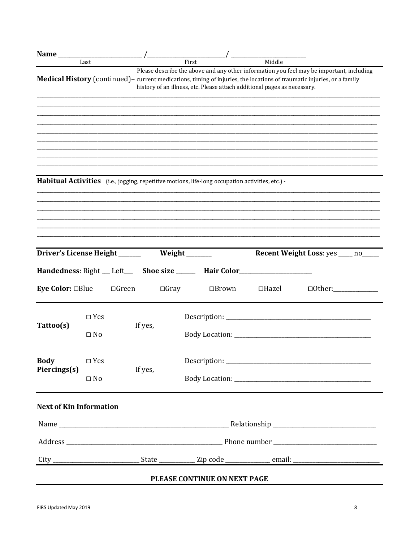| Driver's License Height ______ |  | First<br>Habitual Activities (i.e., jogging, repetitive motions, life-long occupation activities, etc.) -<br>Weight _______ |              | Middle<br>history of an illness, etc. Please attach additional pages as necessary. | Please describe the above and any other information you feel may be important, including<br>Medical History (continued) - current medications, timing of injuries, the locations of traumatic injuries, or a family |                                                                                  |
|--------------------------------|--|-----------------------------------------------------------------------------------------------------------------------------|--------------|------------------------------------------------------------------------------------|---------------------------------------------------------------------------------------------------------------------------------------------------------------------------------------------------------------------|----------------------------------------------------------------------------------|
|                                |  |                                                                                                                             |              |                                                                                    |                                                                                                                                                                                                                     |                                                                                  |
|                                |  |                                                                                                                             |              |                                                                                    |                                                                                                                                                                                                                     |                                                                                  |
|                                |  |                                                                                                                             |              |                                                                                    |                                                                                                                                                                                                                     |                                                                                  |
|                                |  |                                                                                                                             |              |                                                                                    |                                                                                                                                                                                                                     |                                                                                  |
|                                |  |                                                                                                                             |              |                                                                                    |                                                                                                                                                                                                                     |                                                                                  |
|                                |  |                                                                                                                             |              |                                                                                    |                                                                                                                                                                                                                     |                                                                                  |
|                                |  |                                                                                                                             |              |                                                                                    | <b>Recent Weight Loss:</b> yes ____ no____                                                                                                                                                                          |                                                                                  |
|                                |  |                                                                                                                             |              |                                                                                    |                                                                                                                                                                                                                     |                                                                                  |
|                                |  | $\Box$ Gray                                                                                                                 | $\Box$ Brown | $\Box$ Hazel                                                                       | $\Box$ Other:                                                                                                                                                                                                       |                                                                                  |
| $\square$ Yes                  |  |                                                                                                                             |              |                                                                                    |                                                                                                                                                                                                                     |                                                                                  |
| $\Box$ No                      |  |                                                                                                                             |              |                                                                                    |                                                                                                                                                                                                                     |                                                                                  |
| $\square$ Yes                  |  |                                                                                                                             |              |                                                                                    |                                                                                                                                                                                                                     |                                                                                  |
| $\Box$ No                      |  |                                                                                                                             |              |                                                                                    |                                                                                                                                                                                                                     |                                                                                  |
| <b>Next of Kin Information</b> |  |                                                                                                                             |              |                                                                                    |                                                                                                                                                                                                                     |                                                                                  |
|                                |  |                                                                                                                             |              |                                                                                    |                                                                                                                                                                                                                     |                                                                                  |
|                                |  |                                                                                                                             |              |                                                                                    |                                                                                                                                                                                                                     |                                                                                  |
|                                |  |                                                                                                                             |              |                                                                                    |                                                                                                                                                                                                                     |                                                                                  |
|                                |  | $\Box$ Green<br>If yes,<br>If yes,                                                                                          |              |                                                                                    | PLEASE CONTINUE ON NEXT PAGE                                                                                                                                                                                        | Handedness: Right __ Left___ Shoe size _____ Hair Color_________________________ |